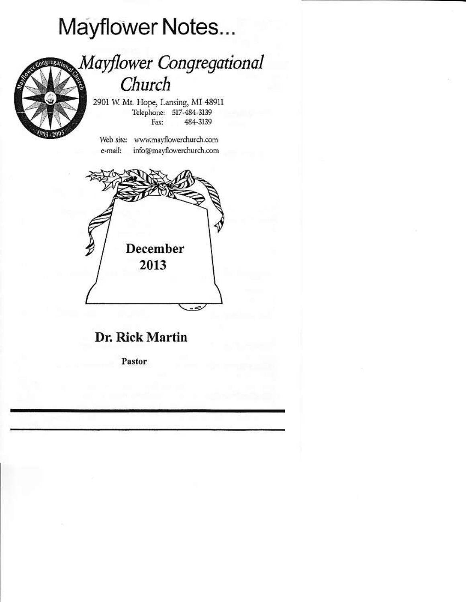# Mayflower Notes...



## **Mayflower Congregational** Church

2901 W. Mt. Hope, Lansing, MI 48911 Telephone: 517-484-3139 Fax: 484-3139

Web site: www.mayflowerchurch.com info@mayflowerchurch.com e-mail:



## Dr. Rick Martin

Pastor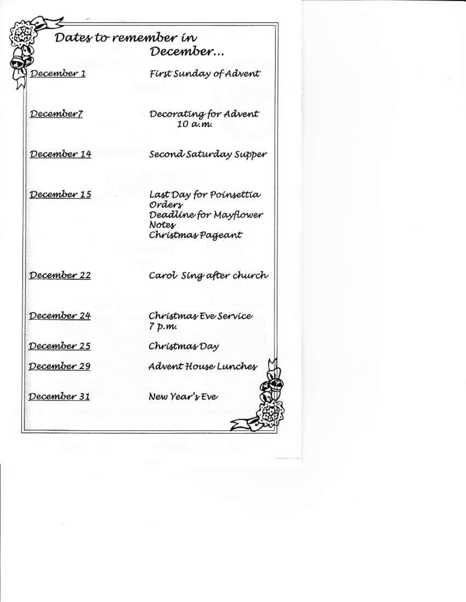### Dates to remember in December...

December 1

First Sunday of Advent

December7

Decorating for Advent  $10$  a.m.

December 14

Second Saturday Supper

December 15

Last Day for Poinsettia Ordery Deadline for Mayflower Notes Christmas Pageant

December 22

Carol Sing after church

December 24

December 25

December 29

December 31

Christmas Eve Service 7 p.m.

Christmas Day

Advent House Lunches

New Year's Eve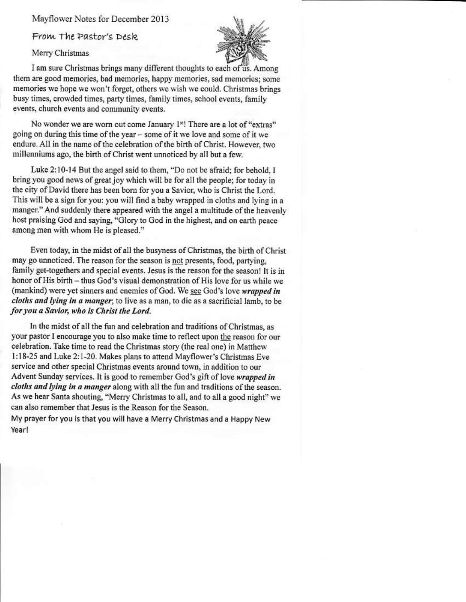Mayflower Notes for December 2013

From The Pastor's Desk.

Merry Christmas



I am sure Christmas brings many different thoughts to each of us. Among them are good memories, bad memories, happy memories, sad memories; some memories we hope we won't forget, others we wish we could. Christmas brings busy times, crowded times, party times, family times, school events, family events, church events and community events.

No wonder we are worn out come January 1s! There are a lot of "extras" going on during this time of the year – some of it we love and some of it we endure. All in the name of the celebration of the birth of Christ. However, two millenniums ago, the birth of Christ went unnoticed by all but a few.

Luke 2:10-14 But the angel said to them, "Do not be afraid; for behold, I bring you good news of great joy which will be for all the people; for today in the city of David there has been born for you a Savior, who is Christ the Lord. This will be a sign for you: you will find a baby wrapped in cloths and lying in a manger." And suddenly there appeared with the angel a multitude of the heavenly host praising God and saying, "Glory to God in the highest, and on earth peace among men with whom He is pleased."

Even today, in the midst of all the busyness of Christmas, the birth of Christ may go unnoticed. The reason for the season is not presents, food, partying, family get-togethers and special events. Jesus is the reason for the season! It is in honor of His birth – thus God's visual demonstration of His love for us while we (mankind) were yet sinners and enemies of God. We see God's love wrapped in cloths and lying in a manger; to live as a man, to die as a sacrificial lamb, to be for you a Savior, who is Christ the Lord.

In the midst of all the fun and celebration and traditions of Christmas, as your pastor I encourage you to also make time to reflect upon the reason for our celebration. Take time to read the Christmas story (the real one) in Matthew 1:18-25 and Luke 2:1-20. Makes plans to attend Mayflower's Christmas Eve service and other special Christmas events around town, in addition to our Advent Sunday services. It is good to remember God's gift of love wrapped in cloths and lying in a manger along with all the fun and traditions of the season. As we hear Santa shouting, "Merry Christmas to all, and to all a good night" we can also remember that Jesus is the Reason for the Season.

My prayer for you is that you will have a Merry Christmas and a Happy New Yearl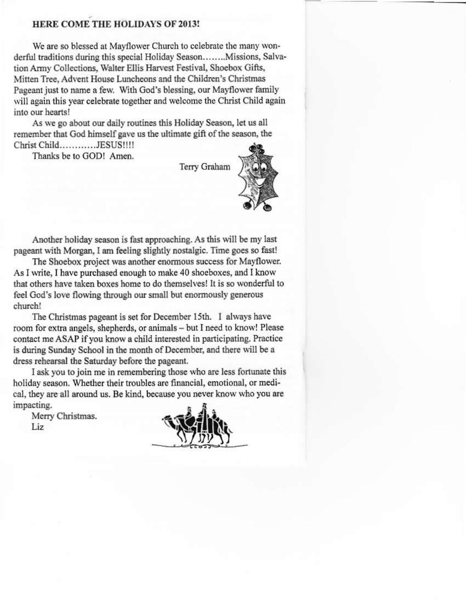#### HERE COME THE HOLIDAYS OF 2013!

We are so blessed at Mayflower Church to celebrate the many wonderful traditions during this special Holiday Season.......Missions, Salvation Army Collections, Walter Ellis Harvest Festival, Shoebox Gifts, Mitten Tree, Advent House Luncheons and the Children's Christmas Pageant just to name a few. With God's blessing, our Mayflower family will again this year celebrate together and welcome the Christ Child again into our hearts!

As we go about our daily routines this Holiday Season, let us all remember that God himself gave us the ultimate gift of the season, the Christ Child............JESUS!!!!

Thanks be to GOD! Amen.

Terry Graham



Another holiday season is fast approaching. As this will be my last pageant with Morgan, I am feeling slightly nostalgic. Time goes so fast!

The Shoebox project was another enormous success for Mayflower. As I write, I have purchased enough to make 40 shoeboxes, and I know that others have taken boxes home to do themselves! It is so wonderful to feel God's love flowing through our small but enormously generous church!

The Christmas pageant is set for December 15th. I always have room for extra angels, shepherds, or animals - but I need to know! Please contact me ASAP if you know a child interested in participating. Practice is during Sunday School in the month of December, and there will be a dress rehearsal the Saturday before the pageant.

I ask you to join me in remembering those who are less fortunate this holiday season. Whether their troubles are financial, emotional, or medical, they are all around us. Be kind, because you never know who you are impacting.

Merry Christmas. Liz

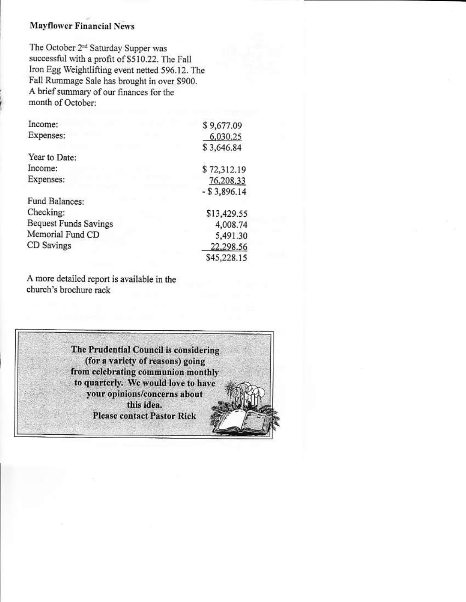#### **Mayflower Financial News**

The October 2<sup>nd</sup> Saturday Supper was successful with a profit of \$510.22. The Fall Iron Egg Weightlifting event netted 596.12. The Fall Rummage Sale has brought in over \$900. A brief summary of our finances for the month of October:

| Income:                      | \$9,677.09     |
|------------------------------|----------------|
| Expenses:                    | 6,030.25       |
|                              | \$3,646.84     |
| Year to Date:                |                |
| Income:                      | \$72,312.19    |
| Expenses:                    | 76,208.33      |
|                              | $-$ \$3,896.14 |
| Fund Balances:               |                |
| Checking:                    | \$13,429.55    |
| <b>Bequest Funds Savings</b> | 4,008.74       |
| Memorial Fund CD             | 5,491.30       |
| CD Savings                   | 22.298.56      |
|                              | \$45,228.15    |

A more detailed report is available in the church's brochure rack

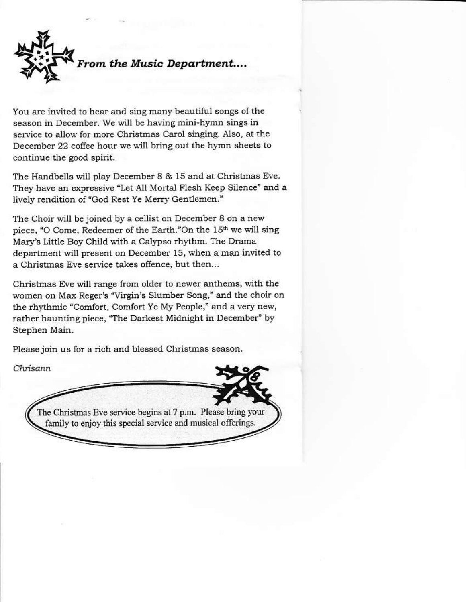From the Music Department....

You are invited to hear and sing many beautiful songs of the season in December. We will be having mini-hymn sings in service to allow for more Christmas Carol singing. Also, at the December 22 coffee hour we will bring out the hymn sheets to continue the good spirit.

The Handbells will play December 8 & 15 and at Christmas Eve. They have an expressive "Let All Mortal Flesh Keep Silence" and a lively rendition of "God Rest Ye Merry Gentlemen."

The Choir will be joined by a cellist on December 8 on a new piece, "O Come, Redeemer of the Earth."On the 15th we will sing Mary's Little Boy Child with a Calypso rhythm. The Drama department will present on December 15, when a man invited to a Christmas Eve service takes offence, but then...

Christmas Eve will range from older to newer anthems, with the women on Max Reger's "Virgin's Slumber Song," and the choir on the rhythmic "Comfort, Comfort Ye My People," and a very new, rather haunting piece, "The Darkest Midnight in December" by Stephen Main.

Please join us for a rich and blessed Christmas season.

Chrisann

The Christmas Eve service begins at 7 p.m. Please bring your family to enjoy this special service and musical offerings.